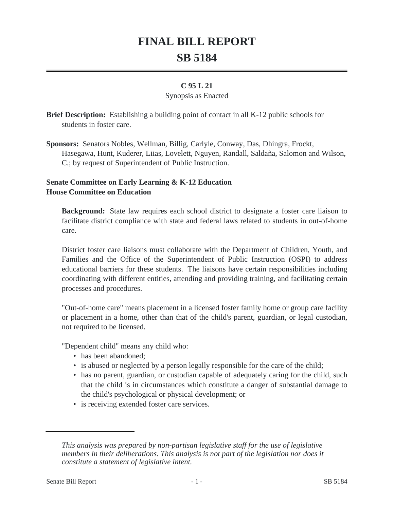# **FINAL BILL REPORT SB 5184**

## **C 95 L 21**

#### Synopsis as Enacted

**Brief Description:** Establishing a building point of contact in all K-12 public schools for students in foster care.

**Sponsors:** Senators Nobles, Wellman, Billig, Carlyle, Conway, Das, Dhingra, Frockt, Hasegawa, Hunt, Kuderer, Liias, Lovelett, Nguyen, Randall, Saldaña, Salomon and Wilson, C.; by request of Superintendent of Public Instruction.

## **Senate Committee on Early Learning & K-12 Education House Committee on Education**

**Background:** State law requires each school district to designate a foster care liaison to facilitate district compliance with state and federal laws related to students in out-of-home care.

District foster care liaisons must collaborate with the Department of Children, Youth, and Families and the Office of the Superintendent of Public Instruction (OSPI) to address educational barriers for these students. The liaisons have certain responsibilities including coordinating with different entities, attending and providing training, and facilitating certain processes and procedures.

"Out-of-home care" means placement in a licensed foster family home or group care facility or placement in a home, other than that of the child's parent, guardian, or legal custodian, not required to be licensed.

"Dependent child" means any child who:

- has been abandoned:
- is abused or neglected by a person legally responsible for the care of the child;
- has no parent, guardian, or custodian capable of adequately caring for the child, such that the child is in circumstances which constitute a danger of substantial damage to the child's psychological or physical development; or
- is receiving extended foster care services.

*This analysis was prepared by non-partisan legislative staff for the use of legislative members in their deliberations. This analysis is not part of the legislation nor does it constitute a statement of legislative intent.*